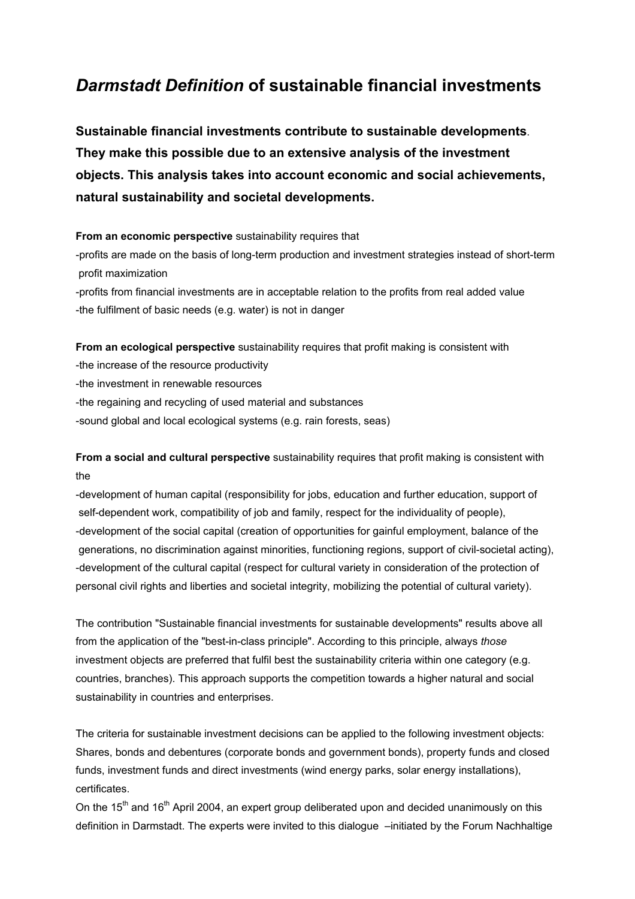## *Darmstadt Definition* **of sustainable financial investments**

**Sustainable financial investments contribute to sustainable developments**. **They make this possible due to an extensive analysis of the investment objects. This analysis takes into account economic and social achievements, natural sustainability and societal developments.** 

**From an economic perspective** sustainability requires that

-profits are made on the basis of long-term production and investment strategies instead of short-term profit maximization

-profits from financial investments are in acceptable relation to the profits from real added value -the fulfilment of basic needs (e.g. water) is not in danger

**From an ecological perspective** sustainability requires that profit making is consistent with

- -the increase of the resource productivity
- -the investment in renewable resources
- -the regaining and recycling of used material and substances
- -sound global and local ecological systems (e.g. rain forests, seas)

**From a social and cultural perspective** sustainability requires that profit making is consistent with the

-development of human capital (responsibility for jobs, education and further education, support of self-dependent work, compatibility of job and family, respect for the individuality of people), -development of the social capital (creation of opportunities for gainful employment, balance of the generations, no discrimination against minorities, functioning regions, support of civil-societal acting), -development of the cultural capital (respect for cultural variety in consideration of the protection of personal civil rights and liberties and societal integrity, mobilizing the potential of cultural variety).

The contribution "Sustainable financial investments for sustainable developments" results above all from the application of the "best-in-class principle". According to this principle, always *those*  investment objects are preferred that fulfil best the sustainability criteria within one category (e.g. countries, branches). This approach supports the competition towards a higher natural and social sustainability in countries and enterprises.

The criteria for sustainable investment decisions can be applied to the following investment objects: Shares, bonds and debentures (corporate bonds and government bonds), property funds and closed funds, investment funds and direct investments (wind energy parks, solar energy installations), certificates.

On the 15<sup>th</sup> and 16<sup>th</sup> April 2004, an expert group deliberated upon and decided unanimously on this definition in Darmstadt. The experts were invited to this dialogue –initiated by the Forum Nachhaltige